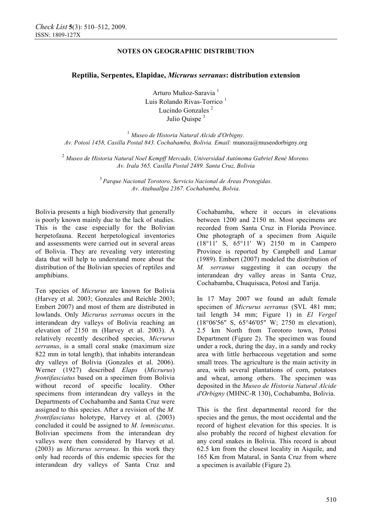# **NOTES ON GEOGRAPHIC DISTRIBUTION**

## **Reptilia, Serpentes, Elapidae,** *Micrurus serranus***: distribution extension**

Arturo Muñoz-Saravia <sup>1</sup> Luis Rolando Rivas-Torrico<sup>1</sup> Lucindo Gonzales<sup>2</sup> Julio Quispe<sup>3</sup>

<sup>1</sup> *Museo de Historia Natural Alcide d'Orbigny. Av. Potosí 1458, Casilla Postal 843. Cochabamba, Bolivia. Email:* munoza@museodorbigny.org

<sup>2</sup> *Museo de Historia Natural Noel Kempff Mercado, Universidad Autónoma Gabriel René Moreno. Av. Irala 565, Casilla Postal 2489. Santa Cruz, Bolivia* 

> <sup>3</sup> *Parque Nacional Torotoro, Servicio Nacional de Áreas Protegidas. Av. Atahuallpa 2367. Cochabamba, Bolvia.*

Bolivia presents a high biodiversity that generally is poorly known mainly due to the lack of studies. This is the case especially for the Bolivian herpetofauna. Recent herpetological inventories and assessments were carried out in several areas of Bolivia. They are revealing very interesting data that will help to understand more about the distribution of the Bolivian species of reptiles and amphibians.

Ten species of *Micrurus* are known for Bolivia (Harvey et al. 2003; Gonzales and Reichle 2003; Embert 2007) and most of them are distributed in lowlands. Only *Micrurus serranus* occurs in the interandean dry valleys of Bolivia reaching an elevation of 2150 m (Harvey et al. 2003). A relatively recently described species, *Micrurus serranus*, is a small coral snake (maximum size 822 mm in total length), that inhabits interandean dry valleys of Bolivia (Gonzales et al. 2006). Werner (1927) described *Elaps* (*Micrurus*) *frontifasciatus* based on a specimen from Bolivia without record of specific locality. Other specimens from interandean dry valleys in the Departments of Cochabamba and Santa Cruz were assigned to this species. After a revision of the *M. frontifasciatus* holotype, Harvey et al. (2003) concluded it could be assigned to *M. lemniscatus*. Bolivian specimens from the interandean dry valleys were then considered by Harvey et al. (2003) as *Micrurus serranus*. In this work they only had records of this endemic species for the interandean dry valleys of Santa Cruz and Cochabamba, where it occurs in elevations between 1200 and 2150 m. Most specimens are recorded from Santa Cruz in Florida Province. One photograph of a specimen from Aiquile (18°11' S, 65°11' W) 2150 m in Campero Province is reported by Campbell and Lamar (1989). Embert (2007) modeled the distribution of *M. serranus* suggesting it can occupy the interandean dry valley areas in Santa Cruz, Cochabamba, Chuquisaca, Potosí and Tarija.

In 17 May 2007 we found an adult female specimen of *Micrurus serranus* (SVL 481 mm; tail length 34 mm; Figure 1) in *El Vergel* (18°06'56" S, 65°46'05" W; 2750 m elevation), 2.5 km North from Torotoro town, Potosí Department (Figure 2). The specimen was found under a rock, during the day, in a sandy and rocky area with little herbaceous vegetation and some small trees. The agriculture is the main activity in area, with several plantations of corn, potatoes and wheat, among others. The specimen was deposited in the *Museo de Historia Natural Alcide d'Orbigny* (MHNC-R 130), Cochabamba, Bolivia.

This is the first departmental record for the species and the genus, the most occidental and the record of highest elevation for this species. It is also probably the record of highest elevation for any coral snakes in Bolivia. This record is about 62.5 km from the closest locality in Aiquile, and 165 Km from Mataral, in Santa Cruz from where a specimen is available (Figure 2).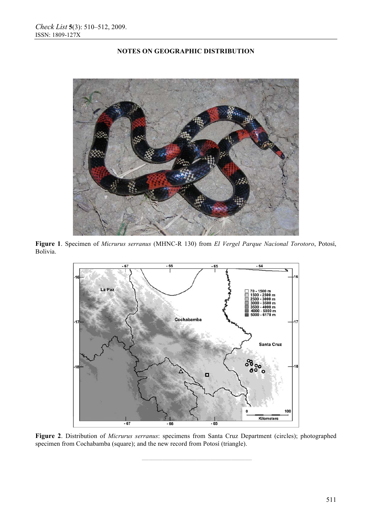# **NOTES ON GEOGRAPHIC DISTRIBUTION**



**Figure 1**. Specimen of *Micrurus serranus* (MHNC-R 130) from *El Vergel Parque Nacional Torotoro*, Potosí, Bolivia.



**Figure 2**. Distribution of *Micrurus serranus*: specimens from Santa Cruz Department (circles); photographed specimen from Cochabamba (square); and the new record from Potosí (triangle).

**————————————————**